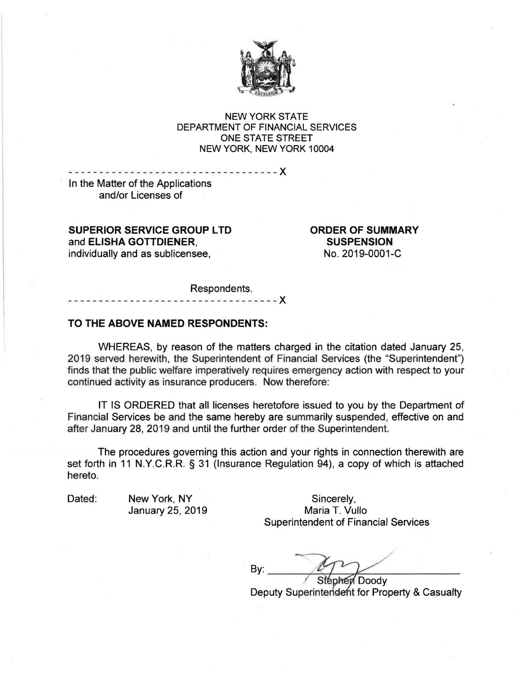

NEW YORK STATE DEPARTMENT OF FINANCIAL SERVICES ONE STATE STREET NEW YORK, NEW YORK 10004

- ---- - -- - - - - --- - --- - - -- - -- - - --- - - -)( In the Matter of the Applications and/or Licenses of

**SUPERIOR SERVICE GROUP LTD ORDER OF SUMMARY**  and **ELISHA GOTTDIENER, SUSPENSION**  individually and as sublicensee, No. 2019-0001-C

Respondents.

- - - - - - - - - - X

## **TO THE ABOVE NAMED RESPONDENTS:**

WHEREAS, by reason of the matters charged in the citation dated January 25, 2019 served herewith, the Superintendent of Financial Services (the "Superintendent") finds that the public welfare imperatively requires emergency action with respect to your continued activity as insurance producers. Now therefore:

IT IS ORDERED that all licenses heretofore issued to you by the Department of Financial Services be and the same hereby are summarily suspended, effective on and after January 28, 2019 and until the further order of the Superintendent.

The procedures governing this action and your rights in connection therewith are set forth in 11 N.Y.C.R.R. § 31 (Insurance Regulation 94), a copy of which is attached hereto.

Dated: New York, NY Sincerely, January 25, 2019 Maria T. Vullo Superintendent of Financial Services

By:

Doody Deputy Superintendent for Property & Casualty